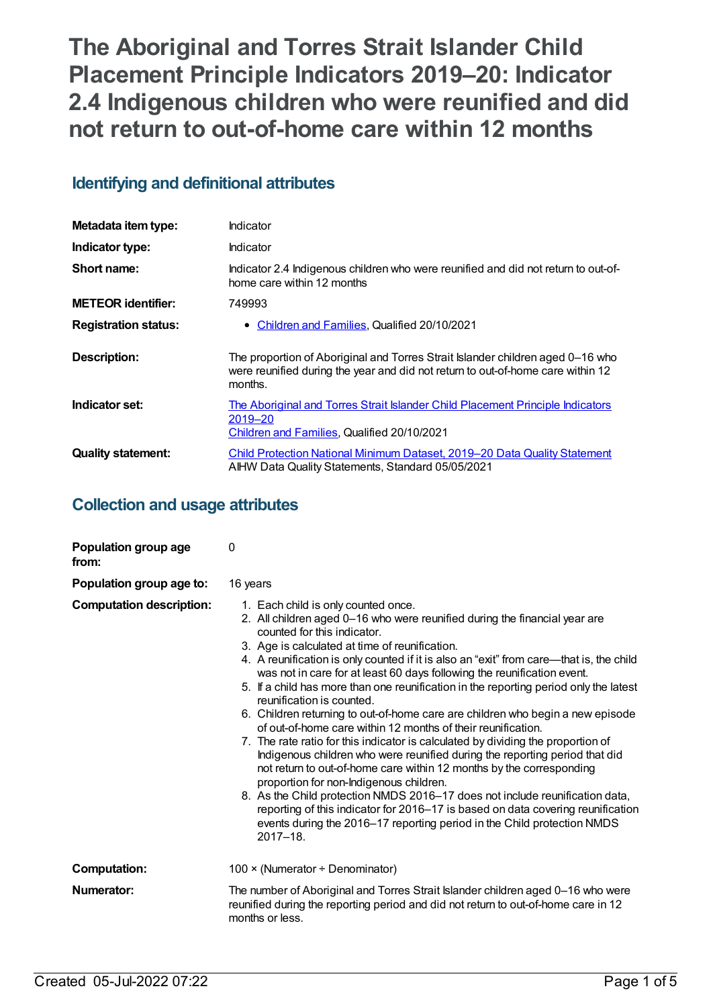# **The Aboriginal and Torres Strait Islander Child Placement Principle Indicators 2019–20: Indicator 2.4 Indigenous children who were reunified and did not return to out-of-home care within 12 months**

# **Identifying and definitional attributes**

| Metadata item type:         | Indicator                                                                                                                                                                    |
|-----------------------------|------------------------------------------------------------------------------------------------------------------------------------------------------------------------------|
| Indicator type:             | Indicator                                                                                                                                                                    |
| Short name:                 | Indicator 2.4 Indigenous children who were reunified and did not return to out-of-<br>home care within 12 months                                                             |
| <b>METEOR identifier:</b>   | 749993                                                                                                                                                                       |
| <b>Registration status:</b> | • Children and Families, Qualified 20/10/2021                                                                                                                                |
| <b>Description:</b>         | The proportion of Aboriginal and Torres Strait Islander children aged 0-16 who<br>were reunified during the year and did not return to out-of-home care within 12<br>months. |
| Indicator set:              | The Aboriginal and Torres Strait Islander Child Placement Principle Indicators<br>2019-20<br>Children and Families, Qualified 20/10/2021                                     |
|                             |                                                                                                                                                                              |

# **Collection and usage attributes**

| Population group age<br>from:   | 0                                                                                                                                                                                                                                                                                                                                                                                                                                                                                                                                                                                                                                                                                                                                                                                                                                                                                                                                                                                                                                                                                                                                                                                                     |
|---------------------------------|-------------------------------------------------------------------------------------------------------------------------------------------------------------------------------------------------------------------------------------------------------------------------------------------------------------------------------------------------------------------------------------------------------------------------------------------------------------------------------------------------------------------------------------------------------------------------------------------------------------------------------------------------------------------------------------------------------------------------------------------------------------------------------------------------------------------------------------------------------------------------------------------------------------------------------------------------------------------------------------------------------------------------------------------------------------------------------------------------------------------------------------------------------------------------------------------------------|
| Population group age to:        | 16 years                                                                                                                                                                                                                                                                                                                                                                                                                                                                                                                                                                                                                                                                                                                                                                                                                                                                                                                                                                                                                                                                                                                                                                                              |
| <b>Computation description:</b> | 1. Each child is only counted once.<br>2. All children aged 0-16 who were reunified during the financial year are<br>counted for this indicator.<br>3. Age is calculated at time of reunification.<br>4. A reunification is only counted if it is also an "exit" from care-that is, the child<br>was not in care for at least 60 days following the reunification event.<br>5. If a child has more than one reunification in the reporting period only the latest<br>reunification is counted.<br>6. Children returning to out-of-home care are children who begin a new episode<br>of out-of-home care within 12 months of their reunification.<br>7. The rate ratio for this indicator is calculated by dividing the proportion of<br>Indigenous children who were reunified during the reporting period that did<br>not return to out-of-home care within 12 months by the corresponding<br>proportion for non-Indigenous children.<br>8. As the Child protection NMDS 2016-17 does not include reunification data,<br>reporting of this indicator for 2016-17 is based on data covering reunification<br>events during the 2016-17 reporting period in the Child protection NMDS<br>$2017 - 18$ . |
| <b>Computation:</b>             | 100 × (Numerator ÷ Denominator)                                                                                                                                                                                                                                                                                                                                                                                                                                                                                                                                                                                                                                                                                                                                                                                                                                                                                                                                                                                                                                                                                                                                                                       |
| Numerator:                      | The number of Aboriginal and Torres Strait Islander children aged 0-16 who were<br>reunified during the reporting period and did not return to out-of-home care in 12<br>months or less.                                                                                                                                                                                                                                                                                                                                                                                                                                                                                                                                                                                                                                                                                                                                                                                                                                                                                                                                                                                                              |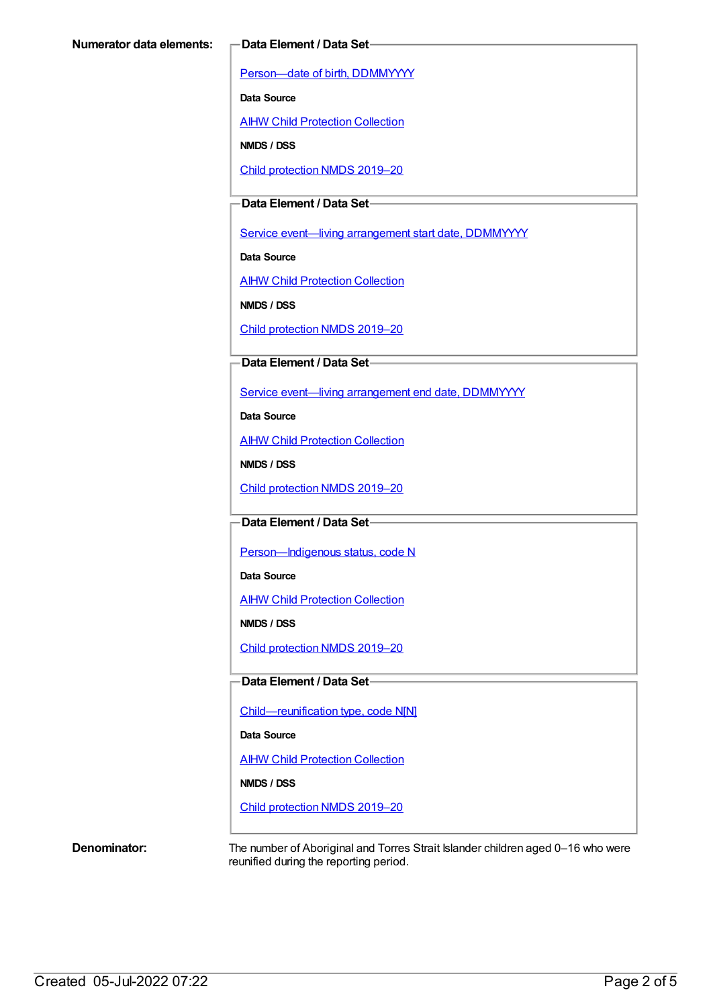[Person—date](https://meteor.aihw.gov.au/content/287007) of birth, DDMMYYYY

**Data Source**

**AIHW Child [Protection](https://meteor.aihw.gov.au/content/489543) Collection** 

**NMDS / DSS**

Child [protection](https://meteor.aihw.gov.au/content/740158) NMDS 2019–20

**Data Element / Data Set**

Service event-living [arrangement](https://meteor.aihw.gov.au/content/474217) start date, DDMMYYYY

**Data Source**

**AIHW Child [Protection](https://meteor.aihw.gov.au/content/489543) Collection** 

**NMDS / DSS**

Child [protection](https://meteor.aihw.gov.au/content/740158) NMDS 2019–20

**Data Element / Data Set**

Service event—living [arrangement](https://meteor.aihw.gov.au/content/474223) end date, DDMMYYYY

**Data Source**

AIHW Child [Protection](https://meteor.aihw.gov.au/content/489543) Collection

**NMDS / DSS**

Child [protection](https://meteor.aihw.gov.au/content/740158) NMDS 2019–20

### **Data Element / Data Set**

Person-Indigenous status, code N

**Data Source**

AIHW Child [Protection](https://meteor.aihw.gov.au/content/489543) Collection

**NMDS / DSS**

Child [protection](https://meteor.aihw.gov.au/content/740158) NMDS 2019–20

#### **Data Element / Data Set**

[Child—reunification](https://meteor.aihw.gov.au/content/737464) type, code N[N]

**Data Source**

AIHW Child [Protection](https://meteor.aihw.gov.au/content/489543) Collection

**NMDS / DSS**

Child [protection](https://meteor.aihw.gov.au/content/740158) NMDS 2019–20

**Denominator:** The number of Aboriginal and Torres Strait Islander children aged 0–16 who were reunified during the reporting period.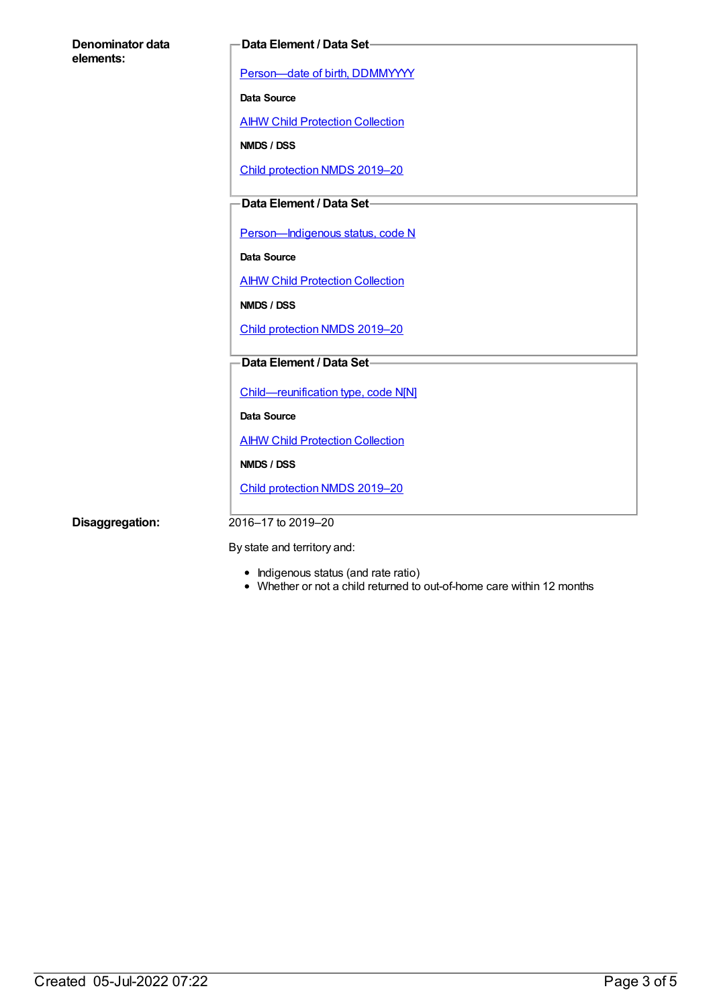| Denominator data |  |
|------------------|--|
| elements:        |  |

#### **Data Element / Data Set**

[Person—date](https://meteor.aihw.gov.au/content/287007) of birth, DDMMYYYY

**Data Source**

**AIHW Child [Protection](https://meteor.aihw.gov.au/content/489543) Collection** 

**NMDS / DSS**

Child [protection](https://meteor.aihw.gov.au/content/740158) NMDS 2019–20

# **Data Element / Data Set**

Person-Indigenous status, code N

**Data Source**

**AIHW Child [Protection](https://meteor.aihw.gov.au/content/489543) Collection** 

**NMDS / DSS**

Child [protection](https://meteor.aihw.gov.au/content/740158) NMDS 2019–20

### **Data Element / Data Set**

[Child—reunification](https://meteor.aihw.gov.au/content/737464) type, code N[N]

**Data Source**

**AIHW Child [Protection](https://meteor.aihw.gov.au/content/489543) Collection** 

**NMDS / DSS**

Child [protection](https://meteor.aihw.gov.au/content/740158) NMDS 2019–20

**Disaggregation:** 2016–17 to 2019–20

By state and territory and:

- Indigenous status (and rate ratio)
- Whether or not a child returned to out-of-home care within 12 months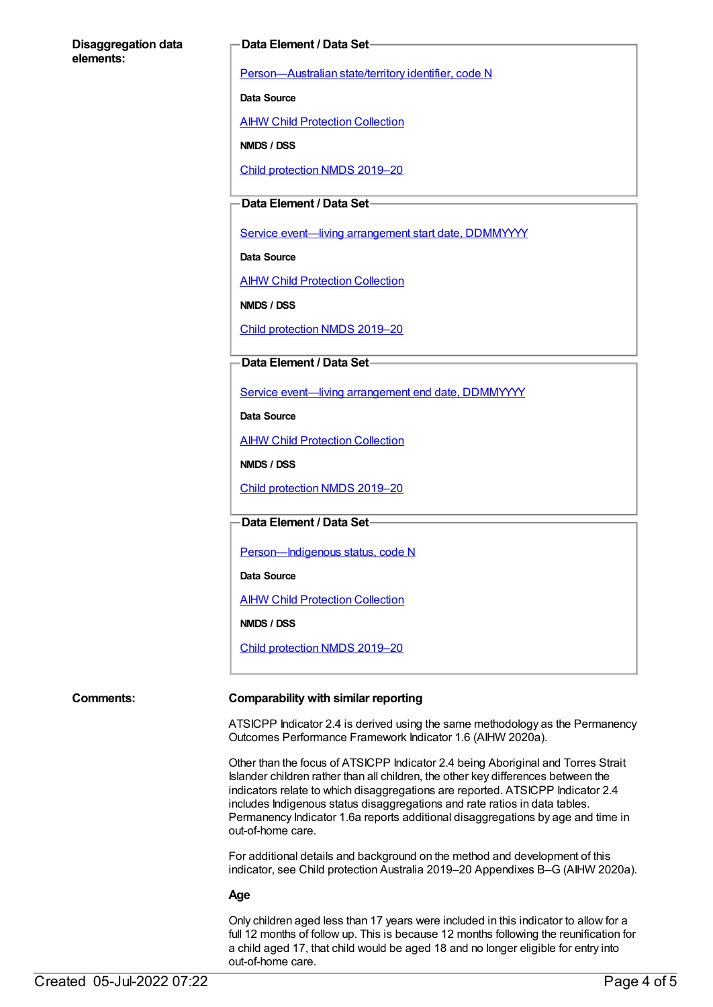#### **Disaggregation data elements:**

#### **Data Element / Data Set**

[Person—Australian](https://meteor.aihw.gov.au/content/286919) state/territory identifier, code N

**Data Source**

AIHW Child [Protection](https://meteor.aihw.gov.au/content/489543) Collection

**NMDS / DSS**

Child [protection](https://meteor.aihw.gov.au/content/740158) NMDS 2019–20

## **Data Element / Data Set**

Service event-living [arrangement](https://meteor.aihw.gov.au/content/474217) start date, DDMMYYYY

**Data Source**

AIHW Child [Protection](https://meteor.aihw.gov.au/content/489543) Collection

**NMDS / DSS**

Child [protection](https://meteor.aihw.gov.au/content/740158) NMDS 2019–20

#### **Data Element / Data Set**

Service event—living [arrangement](https://meteor.aihw.gov.au/content/474223) end date, DDMMYYYY

**Data Source**

AIHW Child [Protection](https://meteor.aihw.gov.au/content/489543) Collection

**NMDS / DSS**

Child [protection](https://meteor.aihw.gov.au/content/740158) NMDS 2019–20

**Data Element / Data Set**

Person-Indigenous status, code N

**Data Source**

AIHW Child [Protection](https://meteor.aihw.gov.au/content/489543) Collection

**NMDS / DSS**

Child [protection](https://meteor.aihw.gov.au/content/740158) NMDS 2019–20

#### **Comments: Comparability with similar reporting**

ATSICPP Indicator 2.4 is derived using the same methodology as the Permanency Outcomes Performance Framework Indicator 1.6 (AIHW 2020a).

Other than the focus of ATSICPP Indicator 2.4 being Aboriginal and Torres Strait Islander children rather than all children, the other key differences between the indicators relate to which disaggregations are reported. ATSICPP Indicator 2.4 includes Indigenous status disaggregations and rate ratios in data tables. Permanency Indicator 1.6a reports additional disaggregations by age and time in out-of-home care.

For additional details and background on the method and development of this indicator, see Child protection Australia 2019–20 Appendixes B–G (AIHW 2020a).

#### **Age**

Only children aged less than 17 years were included in this indicator to allow for a full 12 months of follow up. This is because 12 months following the reunification for a child aged 17, that child would be aged 18 and no longer eligible for entry into out-of-home care.